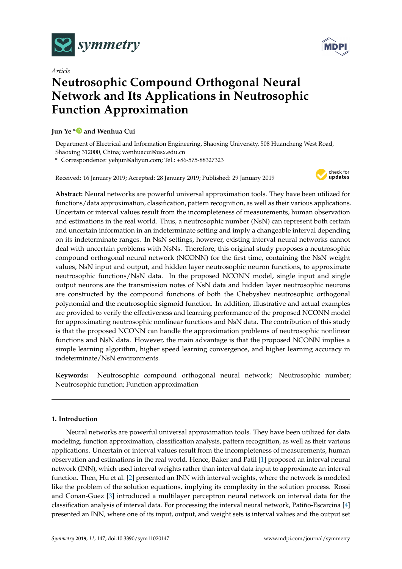



# *Article* **Neutrosophic Compound Orthogonal Neural Network and Its Applications in Neutrosophic Function Approximation**

# **Jun Ye [\\*](https://orcid.org/0000-0003-2841-6529) and Wenhua Cui**

Department of Electrical and Information Engineering, Shaoxing University, 508 Huancheng West Road, Shaoxing 312000, China; wenhuacui@usx.edu.cn

**\*** Correspondence: yehjun@aliyun.com; Tel.: +86-575-88327323

Received: 16 January 2019; Accepted: 28 January 2019; Published: 29 January 2019



**Abstract:** Neural networks are powerful universal approximation tools. They have been utilized for functions/data approximation, classification, pattern recognition, as well as their various applications. Uncertain or interval values result from the incompleteness of measurements, human observation and estimations in the real world. Thus, a neutrosophic number (NsN) can represent both certain and uncertain information in an indeterminate setting and imply a changeable interval depending on its indeterminate ranges. In NsN settings, however, existing interval neural networks cannot deal with uncertain problems with NsNs. Therefore, this original study proposes a neutrosophic compound orthogonal neural network (NCONN) for the first time, containing the NsN weight values, NsN input and output, and hidden layer neutrosophic neuron functions, to approximate neutrosophic functions/NsN data. In the proposed NCONN model, single input and single output neurons are the transmission notes of NsN data and hidden layer neutrosophic neurons are constructed by the compound functions of both the Chebyshev neutrosophic orthogonal polynomial and the neutrosophic sigmoid function. In addition, illustrative and actual examples are provided to verify the effectiveness and learning performance of the proposed NCONN model for approximating neutrosophic nonlinear functions and NsN data. The contribution of this study is that the proposed NCONN can handle the approximation problems of neutrosophic nonlinear functions and NsN data. However, the main advantage is that the proposed NCONN implies a simple learning algorithm, higher speed learning convergence, and higher learning accuracy in indeterminate/NsN environments.

**Keywords:** Neutrosophic compound orthogonal neural network; Neutrosophic number; Neutrosophic function; Function approximation

# **1. Introduction**

Neural networks are powerful universal approximation tools. They have been utilized for data modeling, function approximation, classification analysis, pattern recognition, as well as their various applications. Uncertain or interval values result from the incompleteness of measurements, human observation and estimations in the real world. Hence, Baker and Patil [\[1\]](#page-7-0) proposed an interval neural network (INN), which used interval weights rather than interval data input to approximate an interval function. Then, Hu et al. [\[2\]](#page-7-1) presented an INN with interval weights, where the network is modeled like the problem of the solution equations, implying its complexity in the solution process. Rossi and Conan-Guez [\[3\]](#page-7-2) introduced a multilayer perceptron neural network on interval data for the classification analysis of interval data. For processing the interval neural network, Patiño-Escarcina [\[4\]](#page-7-3) presented an INN, where one of its input, output, and weight sets is interval values and the output set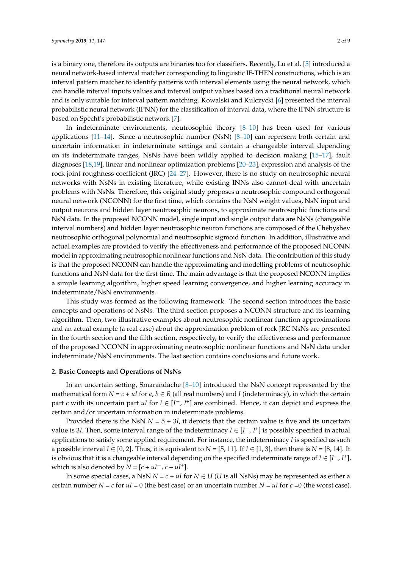is a binary one, therefore its outputs are binaries too for classifiers. Recently, Lu et al. [\[5\]](#page-7-4) introduced a neural network-based interval matcher corresponding to linguistic IF-THEN constructions, which is an interval pattern matcher to identify patterns with interval elements using the neural network, which can handle interval inputs values and interval output values based on a traditional neural network and is only suitable for interval pattern matching. Kowalski and Kulczycki [\[6\]](#page-7-5) presented the interval probabilistic neural network (IPNN) for the classification of interval data, where the IPNN structure is based on Specht's probabilistic network [\[7\]](#page-7-6).

In indeterminate environments, neutrosophic theory [\[8](#page-7-7)[–10\]](#page-7-8) has been used for various applications  $[11-14]$  $[11-14]$ . Since a neutrosophic number (NsN)  $[8-10]$  $[8-10]$  can represent both certain and uncertain information in indeterminate settings and contain a changeable interval depending on its indeterminate ranges, NsNs have been wildly applied to decision making [\[15](#page-8-1)[–17\]](#page-8-2), fault diagnoses [\[18,](#page-8-3)[19\]](#page-8-4), linear and nonlinear optimization problems [\[20](#page-8-5)[–23\]](#page-8-6), expression and analysis of the rock joint roughness coefficient (JRC) [\[24](#page-8-7)[–27\]](#page-8-8). However, there is no study on neutrosophic neural networks with NsNs in existing literature, while existing INNs also cannot deal with uncertain problems with NsNs. Therefore, this original study proposes a neutrosophic compound orthogonal neural network (NCONN) for the first time, which contains the NsN weight values, NsN input and output neurons and hidden layer neutrosophic neurons, to approximate neutrosophic functions and NsN data. In the proposed NCONN model, single input and single output data are NsNs (changeable interval numbers) and hidden layer neutrosophic neuron functions are composed of the Chebyshev neutrosophic orthogonal polynomial and neutrosophic sigmoid function. In addition, illustrative and actual examples are provided to verify the effectiveness and performance of the proposed NCONN model in approximating neutrosophic nonlinear functions and NsN data. The contribution of this study is that the proposed NCONN can handle the approximating and modelling problems of neutrosophic functions and NsN data for the first time. The main advantage is that the proposed NCONN implies a simple learning algorithm, higher speed learning convergence, and higher learning accuracy in indeterminate/NsN environments.

This study was formed as the following framework. The second section introduces the basic concepts and operations of NsNs. The third section proposes a NCONN structure and its learning algorithm. Then, two illustrative examples about neutrosophic nonlinear function approximations and an actual example (a real case) about the approximation problem of rock JRC NsNs are presented in the fourth section and the fifth section, respectively, to verify the effectiveness and performance of the proposed NCONN in approximating neutrosophic nonlinear functions and NsN data under indeterminate/NsN environments. The last section contains conclusions and future work.

## **2. Basic Concepts and Operations of NsNs**

In an uncertain setting, Smarandache [\[8–](#page-7-7)[10\]](#page-7-8) introduced the NsN concept represented by the mathematical form  $N = c + uI$  for  $a, b \in R$  (all real numbers) and *I* (indeterminacy), in which the certain part *c* with its uncertain part *uI* for *I* ∈ [*I* <sup>−</sup>*, I<sup>+</sup>* ] are combined. Hence, it can depict and express the certain and/or uncertain information in indeterminate problems.

Provided there is the NsN  $N = 5 + 3I$ , it depicts that the certain value is five and its uncertain value is 3*I.* Then, some interval range of the indeterminacy *I* ∈ [*I* <sup>−</sup>*, I<sup>+</sup>* ] is possibly specified in actual applications to satisfy some applied requirement. For instance, the indeterminacy *I* is specified as such a possible interval  $I \in [0, 2]$ . Thus, it is equivalent to  $N = [5, 11]$ . If  $I \in [1, 3]$ , then there is  $N = [8, 14]$ . It is obvious that it is a changeable interval depending on the specified indeterminate range of  $I \in [I^-, I^+]$ , which is also denoted by  $N = [c + uI^-, c + uI^+]$ .

In some special cases, a NsN  $N = c + uI$  for  $N \in U$  (*U* is all NsNs) may be represented as either a certain number  $N = c$  for  $uI = 0$  (the best case) or an uncertain number  $N = uI$  for  $c = 0$  (the worst case).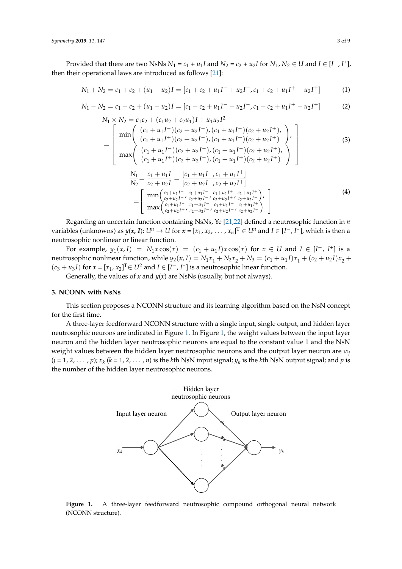Provided that there are two NsNs  $N_1 = c_1 + u_1 I$  and  $N_2 = c_2 + u_2 I$  for  $N_1, N_2 \in U$  and  $I \in [I^-, I^+]$ , then their operational laws are introduced as follows [\[21\]](#page-8-9):

$$
N_1 + N_2 = c_1 + c_2 + (u_1 + u_2)I = [c_1 + c_2 + u_1I^- + u_2I^-, c_1 + c_2 + u_1I^+ + u_2I^+]
$$
(1)

$$
N_1 - N_2 = c_1 - c_2 + (u_1 - u_2)I = [c_1 - c_2 + u_1I^- - u_2I^-, c_1 - c_2 + u_1I^+ - u_2I^+]
$$
 (2)

$$
N_1 \times N_2 = c_1c_2 + (c_1u_2 + c_2u_1)I + u_1u_2I^2
$$
  
\n
$$
= \begin{bmatrix}\n\min\left(\begin{array}{c} (c_1 + u_1I^-)(c_2 + u_2I^-), (c_1 + u_1I^-)(c_2 + u_2I^+), \\ (c_1 + u_1I^+)(c_2 + u_2I^-), (c_1 + u_1I^+)(c_2 + u_2I^+) \end{array}\right), \\
\max\left(\begin{array}{c} (c_1 + u_1I^-)(c_2 + u_2I^-), (c_1 + u_1I^-)(c_2 + u_2I^+) \\ (c_1 + u_1I^+)(c_2 + u_2I^-), (c_1 + u_1I^+)(c_2 + u_2I^+) \end{array}\right)\n\right]
$$
\n(3)  
\n
$$
\frac{N_1}{N_2} = \frac{c_1 + u_1I}{c_2 + u_2I} = \frac{[c_1 + u_1I^-, c_1 + u_1I^+]}{[c_2 + u_2I^-, c_2 + u_2I^+]} \\
= \begin{bmatrix}\n\min\left(\frac{c_1 + u_1I^-}{c_2 + u_2I^+}, \frac{c_1 + u_1I^+}{c_2 + u_2I^-}, \frac{c_1 + u_1I^+}{c_2 + u_2I^+}, \frac{c_1 + u_1I^+}{c_2 + u_2I^-}\right), \\
\max\left(\frac{c_1 + u_1I^-}{c_2 + u_2I^+}, \frac{c_1 + u_1I^-}{c_2 + u_2I^-}, \frac{c_1 + u_1I^+}{c_2 + u_2I^+}, \frac{c_1 + u_1I^+}{c_2 + u_2I^-}\right)\n\end{bmatrix}
$$
\n(4)

Regarding an uncertain function containing NsNs, Ye [\[21](#page-8-9)[,22\]](#page-8-10) defined a neutrosophic function in *n* variables (unknowns) as  $y(x, I): U^n \to U$  for  $x = [x_1, x_2, \ldots, x_n]^T \in U^n$  and  $I \in [I^-, I^+]$ , which is then a *n neutrosophic nonlinear or linear function.* 

For example,  $y_1(x, I) = N_1 x \cos(x) = (c_1 + u_1 I)x \cos(x)$  for  $x \in U$  and  $I \in [I^-, I^+]$  is a neutrosophic nonlinear function, while  $y_2(x, I) = N_1 x_1 + N_2 x_2 + N_3 = (c_1 + u_1 I)x_1 + (c_2 + u_2 I)x_2 +$  $(c_3 + u_3 I)$  for  $\mathbf{x} = [x_1, x_2]^T \in U^2$  and  $I \in [I^-, I^+]$  is a neutrosophic linear function.

Generally, the values of *x* and  $y(x)$  are NsNs (usually, but not always).

#### **3. NCONN with NsNs** Generally, the values of *x* and *y*(*x*) are NsNs **(**usually, but not always).

This section proposes a NCONN structure and its learning algorithm based on the NsN concept for the first time.  $\blacksquare$ 

A three-layer feedforward NCONN structure with a single input, single output, and hidden layer neutrosophic neurons are indicated in Figure [1.](#page-2-0) In Figure [1,](#page-2-0) the weight values between the input layer neuron and the hidden layer neutrosophic neurons are equal to the constant value 1 and the NsN weight values between the hidden layer neutrosophic neurons and the output layer neuron are  $w_j$  $(j = 1, 2, ..., p)$ ;  $x_k$  ( $k = 1, 2, ..., n$ ) is the kth NsN input signal;  $y_k$  is the kth NsN output signal; and p is the number of the hidden layer neutrosophic neurons. ine number of the madem layer neutrosophic neur

<span id="page-2-0"></span>

**Figure 1.** A three-layer feedforward neutrosophic compound orthogonal neural network (NCONN structure).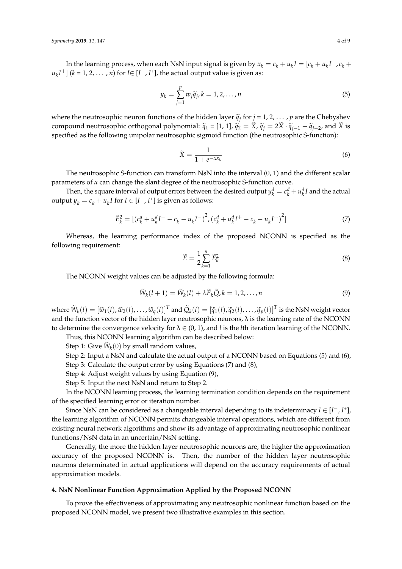In the learning process, when each NsN input signal is given by  $x_k = c_k + u_k I = [c_k + u_k I^-, c_k + u_k I^+]$  $u_k I^+$ ] ( $k = 1, 2, ..., n$ ) for *I*∈ [*I*<sup>-</sup>, *I*<sup>+</sup>], the actual output value is given as:

$$
y_k = \sum_{j=1}^p w_j \widetilde{q}_j, k = 1, 2, \dots, n
$$
\n<sup>(5)</sup>

where the neutrosophic neuron functions of the hidden layer  $\tilde{q}_j$  for  $j = 1, 2, \ldots, p$  are the Chebyshev compound neutrosophic orthogonal polynomial:  $\tilde{q}_1 = [1, 1]$ ,  $\tilde{q}_2 = X$ ,  $\tilde{q}_j = 2X \cdot \tilde{q}_{j-1} - \tilde{q}_{j-2}$ , and *X* is specified as the following unipolar neutrosophic sigmoid function (the neutrosophic S-function):

$$
\widetilde{X} = \frac{1}{1 + e^{-\alpha x_k}}\tag{6}
$$

The neutrosophic S-function can transform NsN into the interval (0, 1) and the different scalar parameters of *α* can change the slant degree of the neutrosophic S-function curve.

Then, the square interval of output errors between the desired output  $y_k^d = c_k^d + u_k^d I$  and the actual output  $y_k = c_k + u_k I$  for  $I \in [I^-, I^+]$  is given as follows:

$$
\widetilde{E}_k^2 = [(c_k^d + u_k^d I^- - c_k - u_k I^-)^2, (c_k^d + u_k^d I^+ - c_k - u_k I^+)^2]
$$
\n(7)

Whereas, the learning performance index of the proposed NCONN is specified as the following requirement:

$$
\widetilde{E} = \frac{1}{2} \sum_{k=1}^{n} \widetilde{E}_k^2
$$
\n(8)

The NCONN weight values can be adjusted by the following formula:

$$
\widetilde{W}_k(l+1) = \widetilde{W}_k(l) + \lambda \widetilde{E}_k \widetilde{Q}, k = 1, 2, \dots, n
$$
\n(9)

where  $\widetilde{W}_k(l) = [\widetilde{w}_1(l), \widetilde{w}_2(l), \ldots, \widetilde{w}_q(l)]^T$  and  $\widetilde{Q}_k(l) = [\widetilde{q}_1(l), \widetilde{q}_2(l), \ldots, \widetilde{q}_p(l)]^T$  is the NsN weight vector and the function vector of the hidden layer neutrosophic neurons,  $\lambda$  is the learning rate of the NCONN to determine the convergence velocity for  $\lambda \in (0, 1)$ , and *l* is the *l*th iteration learning of the NCONN.

Thus, this NCONN learning algorithm can be described below:

Step 1: Give  $W_k(0)$  by small random values,

Step 2: Input a NsN and calculate the actual output of a NCONN based on Equations (5) and (6), Step 3: Calculate the output error by using Equations (7) and (8),

Step 4: Adjust weight values by using Equation (9),

Step 5: Input the next NsN and return to Step 2.

In the NCONN learning process, the learning termination condition depends on the requirement of the specified learning error or iteration number.

Since NsN can be considered as a changeable interval depending to its indeterminacy  $I \in [I^-, I^+]$ , the learning algorithm of NCONN permits changeable interval operations, which are different from existing neural network algorithms and show its advantage of approximating neutrosophic nonlinear functions/NsN data in an uncertain/NsN setting.

Generally, the more the hidden layer neutrosophic neurons are, the higher the approximation accuracy of the proposed NCONN is. Then, the number of the hidden layer neutrosophic neurons determinated in actual applications will depend on the accuracy requirements of actual approximation models.

## **4. NsN Nonlinear Function Approximation Applied by the Proposed NCONN**

To prove the effectiveness of approximating any neutrosophic nonlinear function based on the proposed NCONN model, we present two illustrative examples in this section.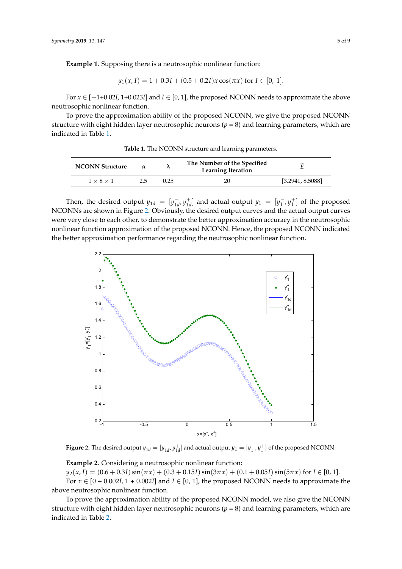**Example 1**. Supposing there is a neutrosophic nonlinear function:

$$
y_1(x, I) = 1 + 0.3I + (0.5 + 0.2I)x \cos(\pi x)
$$
 for  $I \in [0, 1]$ .

For  $x \in [-1+0.02I, 1+0.023I]$  and  $I \in [0, 1]$ , the proposed NCONN needs to approximate the above **Example 1**. Supposite nonlinear function.

To prove the approximation ability of the proposed NCONN, we give the proposed NCONN structure with eight hidden layer neutrosophic neurons ( $p = 8$ ) and learning parameters, which are<br>indicated in Table 1 indicated in Table [1.](#page-4-0) neutrosophic nonlinear function.

<span id="page-4-0"></span>

| <b>NCONN Structure</b><br>$\alpha$ |    | The Number of the Specified<br><b>Learning Iteration</b> | $\widetilde{F}$ |                  |
|------------------------------------|----|----------------------------------------------------------|-----------------|------------------|
| $1 \times 8 \times 1$              | フ5 | 0.25                                                     | 20              | [3.2941, 8.5088] |

Table 1. The NCONN structure and learning parameters.

Then, the desired output  $y_{1d} = [y_{1d}]$  $\frac{1}{1}d}$ ,  $y_{1}^{+}$  $\begin{bmatrix} 1 \\ 1 \end{bmatrix}$  and actual output  $y_1 = \begin{bmatrix} y_1^{-1} \\ y_1^{-1} \end{bmatrix}$ d actual output  $y_1 = [y_1^-, y_1^+]$  of the proposed NCONNs are shown in Figure [2.](#page-4-1) Obviously, the desired output curves and the actual output curves were very close to each other, to demonstrate the better approximation accuracy in the neutrosophic<br>NCONNS are shown in Figure 2. Obviously, the actual output curves and the actual output curves and the actual o nonlinear function approximation of the proposed NCONN. Hence, the proposed NCONN indicated the better approximation performance regarding the neutrosophic nonlinear function. desired output  $y_{1d} = [y_{1d}, y_{1d}]$  and actual output  $y_1 = [y_1, y_1]$  or the j

<span id="page-4-1"></span>

**Figure 2.** The desired output  $y_{1d} = [y_{1d}^-, y_{1d}^+]$  and actual output  $y_1 = [y_1^-, y_1^+]$  of the proposed NCONN.

**Example 2**. Considering a neutrosophic nonlinear function:

 $y_2(x, I) = (0.6 + 0.3I)\sin(\pi x) + (0.3 + 0.15I)\sin(3\pi x) + (0.1 + 0.05I)\sin(5\pi x)$  for  $I \in [0, 1]$ . For  $x \in [0 + 0.002I, 1 + 0.002I]$  and  $I \in [0, 1]$ , the proposed NCONN needs to approximate the above neutrosophic nonlinear function.

To prove the approximation ability of the proposed NCONN model, we also give the NCONN structure with eight hidden layer neutrosophic neurons  $(p = 8)$  and learning parameters, which are indicated in Table [2.](#page-5-0)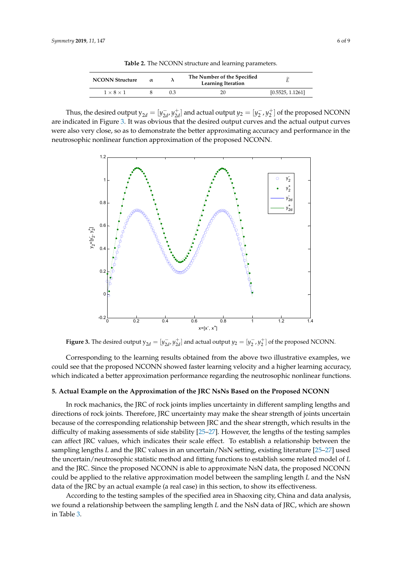| <b>NCONN Structure</b><br>$\alpha$ |  |     | The Number of the Specified<br><b>Learning Iteration</b> | $\approx$        |
|------------------------------------|--|-----|----------------------------------------------------------|------------------|
| $1 \times 8 \times 1$              |  | 0.3 |                                                          | [0.5525, 1.1261] |

<span id="page-5-0"></span>**Table 2.** The NCONN structure and learning parameters. indicated in Table 2.

Thus, the desired output  $y_{2d} = [y_{2d}^{-}]$  $^{-}_{2d}$ ,  $y^{+}_{2d}$ desired output  $y_{2d} = [y_{2d}^-, y_{2d}^+]$  and actual output  $y_2 = [y_2^-, y_2^+]$  of the proposed NCONN are indicated in Figure [3.](#page-5-1) It was obvious that the desired output curves and the actual output curves were also very close, so as to demonstrate the better approximating accuracy and performance in the neutrosophic nonlinear function approximation of the proposed NCONN.

<span id="page-5-1"></span>

**Figure 3.** The desired output  $y_{2d} = [y_{2d}^-, y_{2d}^+]$  and actual output  $y_2 = [y_2^-, y_2^+]$  of the proposed NCONN.

could see that the proposed NCONN showed faster learning velocity and a higher learning accuracy, could see that the proposed NCONN showed faster learning velocity and a higher learning accuracy, which indicated a better approximation performance regarding the neutrosophic nonlinear functions. which indicated a better approximation performance regarding the neutrosophic nonlinear functions. Corresponding to the learning results obtained from the above two illustrative examples, we

# **5. Actual Example on the Approximation of the JRC NsNs Based on the Proposed NCONN 5. Actual Example on the Approximation of the JRC NsNs Based on the Proposed NCONN**

In rock machanics, the JRC of rock joints implies uncertainty in different sampling lengths and directions of rock joints. Therefore, JRC uncertainty may make the shear strength of joints uncertain because of the corresponding relationship between JRC and the shear strength, which results in the difficulty of making assessments of side stability [\[25](#page-8-11)[–27\]](#page-8-8). However, the lengths of the testing samples can affect JRC values, which indicates their scale effect. To establish a relationship between the sampling lengths *L* and the JRC values in an uncertain/NsN setting, existing literature [\[25–](#page-8-11)[27\]](#page-8-8) used the uncertain/neutrosophic statistic method and fitting functions to establish some related model of *L* and the JRC. Since the proposed NCONN is able to approximate NsN data, the proposed NCONN could be applied to the relative approximation model between the sampling length *L* and the NsN data of the JRC by an actual example (a real case) in this section, to show its effectiveness.

According to the testing samples of the specified area in Shaoxing city, China and data analysis, we found a relationship between the sampling length *L* and the NsN data of JRC, which are shown in Table [3.](#page-6-0)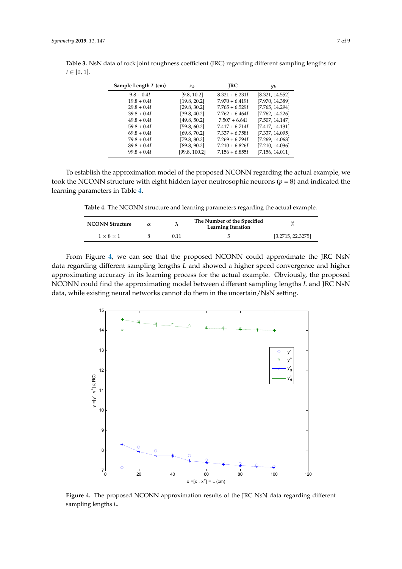| Sample Length L (cm) | $x_k$         | <b>JRC</b>       | $y_k$           |
|----------------------|---------------|------------------|-----------------|
| $9.8 + 0.4I$         | [9.8, 10.2]   | $8.321 + 6.231I$ | [8.321, 14.552] |
| $19.8 + 0.41$        | [19.8, 20.2]  | $7.970 + 6.419I$ | [7.970, 14.389] |
| $29.8 + 0.41$        | [29.8, 30.2]  | $7.765 + 6.529I$ | [7.765, 14.294] |
| $39.8 + 0.41$        | [39.8, 40.2]  | $7.762 + 6.464I$ | [7.762, 14.226] |
| $49.8 + 0.41$        | [49.8, 50.2]  | $7.507 + 6.641$  | [7.507, 14.147] |
| $59.8 + 0.4I$        | [59.8, 60.2]  | $7.417 + 6.714I$ | [7.417, 14.131] |
| $69.8 + 0.41$        | [69.8, 70.2]  | $7.337 + 6.7581$ | [7.337, 14.095] |
| $79.8 + 0.4I$        | [79.8, 80.2]  | $7.269 + 6.794I$ | [7.269, 14.063] |
| $89.8 + 0.41$        | [89.8, 90.2]  | $7.210 + 6.826I$ | [7.210, 14.036] |
| $99.8 + 0.41$        | [99.8, 100.2] | $7.156 + 6.855I$ | [7.156, 14.011] |

<span id="page-6-0"></span>**Table 3.** NsN data of rock joint roughness coefficient (JRC) regarding different sampling lengths for  $I \in [0, 1].$ 

<span id="page-6-1"></span>To establish the approximation model of the proposed NCONN regarding the actual example, we took the NCONN structure with eight hidden layer neutrosophic neurons  $(p = 8)$  and indicated the learning parameters in Table [4.](#page-6-1)

**Table 4.** The NCONN structure and learning parameters regarding the actual example.

| <b>NCONN Structure</b> |      | The Number of the Specified<br><b>Learning Iteration</b> |                   |
|------------------------|------|----------------------------------------------------------|-------------------|
| $1 \times 8 \times 1$  | 0.11 |                                                          | [3.2715, 22.3275] |

From Figure [4,](#page-6-2) we can see that the proposed NCONN could approximate the JRC NsN data regarding different sampling lengths *L* and showed a higher speed convergence and higher approximating accuracy in its learning process for the actual example. Obviously, the proposed NCONN could find the approximating model between different sampling lengths *L* and JRC NsN data, while existing neural networks cannot do them in the uncertain/NsN setting.

<span id="page-6-2"></span>

**Figure 4.** The proposed NCONN approximation results of the JRC NsN data regarding different **Figure 4.** The proposed NCONN approximation results of the JRC NsN data regarding different sampling lengths *L.* sampling lengths *L.*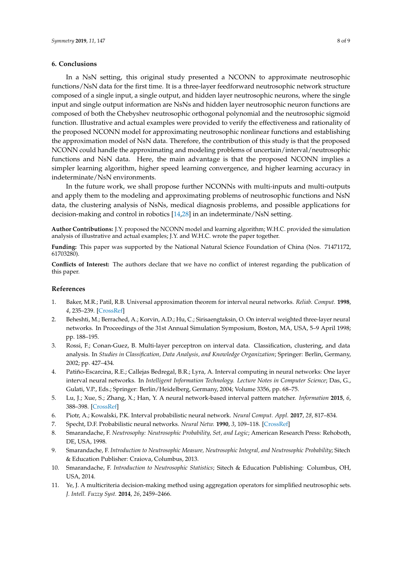## **6. Conclusions**

In a NsN setting, this original study presented a NCONN to approximate neutrosophic functions/NsN data for the first time. It is a three-layer feedforward neutrosophic network structure composed of a single input, a single output, and hidden layer neutrosophic neurons, where the single input and single output information are NsNs and hidden layer neutrosophic neuron functions are composed of both the Chebyshev neutrosophic orthogonal polynomial and the neutrosophic sigmoid function. Illustrative and actual examples were provided to verify the effectiveness and rationality of the proposed NCONN model for approximating neutrosophic nonlinear functions and establishing the approximation model of NsN data. Therefore, the contribution of this study is that the proposed NCONN could handle the approximating and modeling problems of uncertain/interval/neutrosophic functions and NsN data. Here, the main advantage is that the proposed NCONN implies a simpler learning algorithm, higher speed learning convergence, and higher learning accuracy in indeterminate/NsN environments.

In the future work, we shall propose further NCONNs with multi-inputs and multi-outputs and apply them to the modeling and approximating problems of neutrosophic functions and NsN data, the clustering analysis of NsNs, medical diagnosis problems, and possible applications for decision-making and control in robotics [\[14,](#page-8-0)[28\]](#page-8-12) in an indeterminate/NsN setting.

**Author Contributions:** J.Y. proposed the NCONN model and learning algorithm; W.H.C. provided the simulation analysis of illustrative and actual examples; J.Y. and W.H.C. wrote the paper together.

**Funding:** This paper was supported by the National Natural Science Foundation of China (Nos. 71471172, 61703280).

**Conflicts of Interest:** The authors declare that we have no conflict of interest regarding the publication of this paper.

### **References**

- <span id="page-7-0"></span>1. Baker, M.R.; Patil, R.B. Universal approximation theorem for interval neural networks. *Reliab. Comput.* **1998**, *4*, 235–239. [\[CrossRef\]](http://dx.doi.org/10.1023/A:1009951412412)
- <span id="page-7-1"></span>2. Beheshti, M.; Berrached, A.; Korvin, A.D.; Hu, C.; Sirisaengtaksin, O. On interval weighted three-layer neural networks. In Proceedings of the 31st Annual Simulation Symposium, Boston, MA, USA, 5–9 April 1998; pp. 188–195.
- <span id="page-7-2"></span>3. Rossi, F.; Conan-Guez, B. Multi-layer perceptron on interval data. Classification, clustering, and data analysis. In *Studies in Classification, Data Analysis, and Knowledge Organization*; Springer: Berlin, Germany, 2002; pp. 427–434.
- <span id="page-7-3"></span>4. Patiño-Escarcina, R.E.; Callejas Bedregal, B.R.; Lyra, A. Interval computing in neural networks: One layer interval neural networks. In *Intelligent Information Technology. Lecture Notes in Computer Science*; Das, G., Gulati, V.P., Eds.; Springer: Berlin/Heidelberg, Germany, 2004; Volume 3356, pp. 68–75.
- <span id="page-7-4"></span>5. Lu, J.; Xue, S.; Zhang, X.; Han, Y. A neural network-based interval pattern matcher. *Information* **2015**, *6*, 388–398. [\[CrossRef\]](http://dx.doi.org/10.3390/info6030388)
- <span id="page-7-5"></span>6. Piotr, A.; Kowalski, P.K. Interval probabilistic neural network. *Neural Comput. Appl.* **2017**, *28*, 817–834.
- <span id="page-7-6"></span>7. Specht, D.F. Probabilistic neural networks. *Neural Netw.* **1990**, *3*, 109–118. [\[CrossRef\]](http://dx.doi.org/10.1016/0893-6080(90)90049-Q)
- <span id="page-7-7"></span>8. Smarandache, F. *Neutrosophy: Neutrosophic Probability, Set, and Logic*; American Research Press: Rehoboth, DE, USA, 1998.
- 9. Smarandache, F. *Introduction to Neutrosophic Measure, Neutrosophic Integral, and Neutrosophic Probability*; Sitech & Education Publisher: Craiova, Columbus, 2013.
- <span id="page-7-8"></span>10. Smarandache, F. *Introduction to Neutrosophic Statistics*; Sitech & Education Publishing: Columbus, OH, USA, 2014.
- <span id="page-7-9"></span>11. Ye, J. A multicriteria decision-making method using aggregation operators for simplified neutrosophic sets. *J. Intell. Fuzzy Syst.* **2014**, *26*, 2459–2466.